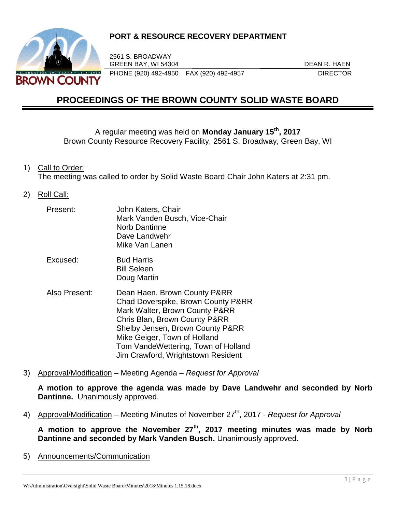

# **PORT & RESOURCE RECOVERY DEPARTMENT**

2561 S. BROADWAY GREEN BAY, WI 54304 DEAN R. HAEN PHONE (920) 492-4950 FAX (920) 492-4957 DIRECTOR

# **PROCEEDINGS OF THE BROWN COUNTY SOLID WASTE BOARD**

A regular meeting was held on **Monday January 15th , 2017** Brown County Resource Recovery Facility, 2561 S. Broadway, Green Bay, WI

1) Call to Order:

The meeting was called to order by Solid Waste Board Chair John Katers at 2:31 pm.

2) Roll Call:

| Present:      | John Katers, Chair<br>Mark Vanden Busch, Vice-Chair<br><b>Norb Dantinne</b><br>Dave Landwehr<br>Mike Van Lanen                                                                                                                                                                         |
|---------------|----------------------------------------------------------------------------------------------------------------------------------------------------------------------------------------------------------------------------------------------------------------------------------------|
| Excused:      | <b>Bud Harris</b><br><b>Bill Seleen</b><br>Doug Martin                                                                                                                                                                                                                                 |
| Also Present: | Dean Haen, Brown County P&RR<br>Chad Doverspike, Brown County P&RR<br>Mark Walter, Brown County P&RR<br>Chris Blan, Brown County P&RR<br>Shelby Jensen, Brown County P&RR<br>Mike Geiger, Town of Holland<br>Tom VandeWettering, Town of Holland<br>Jim Crawford, Wrightstown Resident |

3) Approval/Modification – Meeting Agenda – *Request for Approval*

**A motion to approve the agenda was made by Dave Landwehr and seconded by Norb Dantinne.** Unanimously approved.

4) Approval/Modification – Meeting Minutes of November 27<sup>th</sup>, 2017 *- Request for Approval* 

**A motion to approve the November 27th , 2017 meeting minutes was made by Norb Dantinne and seconded by Mark Vanden Busch.** Unanimously approved.

5) Announcements/Communication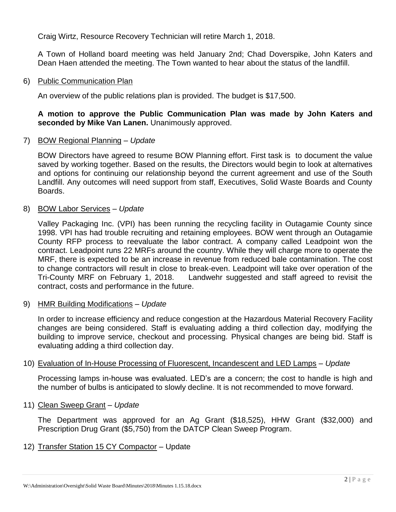Craig Wirtz, Resource Recovery Technician will retire March 1, 2018.

A Town of Holland board meeting was held January 2nd; Chad Doverspike, John Katers and Dean Haen attended the meeting. The Town wanted to hear about the status of the landfill.

#### 6) Public Communication Plan

An overview of the public relations plan is provided. The budget is \$17,500.

## **A motion to approve the Public Communication Plan was made by John Katers and seconded by Mike Van Lanen.** Unanimously approved.

## 7) BOW Regional Planning – *Update*

BOW Directors have agreed to resume BOW Planning effort. First task is to document the value saved by working together. Based on the results, the Directors would begin to look at alternatives and options for continuing our relationship beyond the current agreement and use of the South Landfill. Any outcomes will need support from staff, Executives, Solid Waste Boards and County Boards.

## 8) BOW Labor Services – *Update*

Valley Packaging Inc. (VPI) has been running the recycling facility in Outagamie County since 1998. VPI has had trouble recruiting and retaining employees. BOW went through an Outagamie County RFP process to reevaluate the labor contract. A company called Leadpoint won the contract. Leadpoint runs 22 MRFs around the country. While they will charge more to operate the MRF, there is expected to be an increase in revenue from reduced bale contamination. The cost to change contractors will result in close to break-even. Leadpoint will take over operation of the Tri-County MRF on February 1, 2018. Landwehr suggested and staff agreed to revisit the contract, costs and performance in the future.

## 9) HMR Building Modifications – *Update*

In order to increase efficiency and reduce congestion at the Hazardous Material Recovery Facility changes are being considered. Staff is evaluating adding a third collection day, modifying the building to improve service, checkout and processing. Physical changes are being bid. Staff is evaluating adding a third collection day.

## 10) Evaluation of In-House Processing of Fluorescent, Incandescent and LED Lamps – *Update*

Processing lamps in-house was evaluated. LED's are a concern; the cost to handle is high and the number of bulbs is anticipated to slowly decline. It is not recommended to move forward.

## 11) Clean Sweep Grant – *Update*

The Department was approved for an Ag Grant (\$18,525), HHW Grant (\$32,000) and Prescription Drug Grant (\$5,750) from the DATCP Clean Sweep Program.

## 12) Transfer Station 15 CY Compactor – Update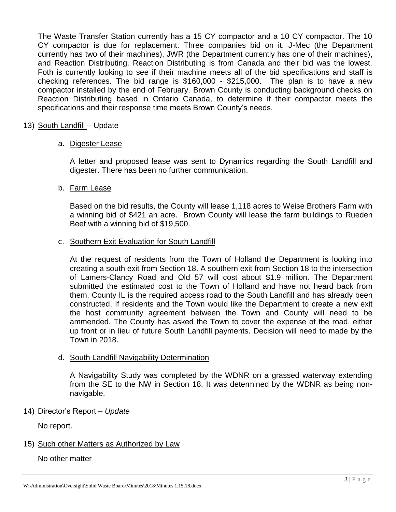The Waste Transfer Station currently has a 15 CY compactor and a 10 CY compactor. The 10 CY compactor is due for replacement. Three companies bid on it. J-Mec (the Department currently has two of their machines), JWR (the Department currently has one of their machines), and Reaction Distributing. Reaction Distributing is from Canada and their bid was the lowest. Foth is currently looking to see if their machine meets all of the bid specifications and staff is checking references. The bid range is \$160,000 - \$215,000. The plan is to have a new compactor installed by the end of February. Brown County is conducting background checks on Reaction Distributing based in Ontario Canada, to determine if their compactor meets the specifications and their response time meets Brown County's needs.

#### 13) South Landfill – Update

#### a. Digester Lease

A letter and proposed lease was sent to Dynamics regarding the South Landfill and digester. There has been no further communication.

#### b. Farm Lease

Based on the bid results, the County will lease 1,118 acres to Weise Brothers Farm with a winning bid of \$421 an acre. Brown County will lease the farm buildings to Rueden Beef with a winning bid of \$19,500.

#### c. Southern Exit Evaluation for South Landfill

At the request of residents from the Town of Holland the Department is looking into creating a south exit from Section 18. A southern exit from Section 18 to the intersection of Lamers-Clancy Road and Old 57 will cost about \$1.9 million. The Department submitted the estimated cost to the Town of Holland and have not heard back from them. County IL is the required access road to the South Landfill and has already been constructed. If residents and the Town would like the Department to create a new exit the host community agreement between the Town and County will need to be ammended. The County has asked the Town to cover the expense of the road, either up front or in lieu of future South Landfill payments. Decision will need to made by the Town in 2018.

#### d. South Landfill Navigability Determination

A Navigability Study was completed by the WDNR on a grassed waterway extending from the SE to the NW in Section 18. It was determined by the WDNR as being nonnavigable.

#### 14) Director's Report – *Update*

No report.

#### 15) Such other Matters as Authorized by Law

No other matter